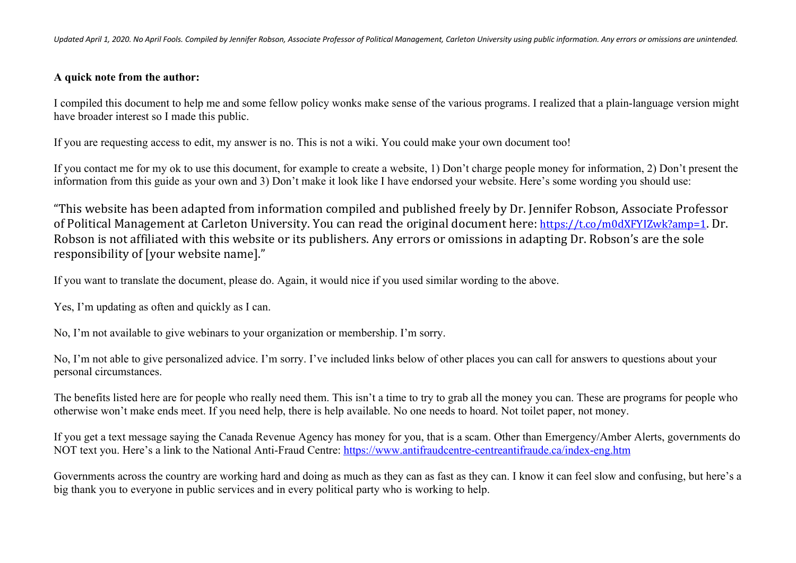## **A quick note from the author:**

I compiled this document to help me and some fellow policy wonks make sense of the various programs. I realized that a plain-language version might have broader interest so I made this public.

If you are requesting access to edit, my answer is no. This is not a wiki. You could make your own document too!

If you contact me for my ok to use this document, for example to create a website, 1) Don't charge people money for information, 2) Don't present the information from this guide as your own and 3) Don't make it look like I have endorsed your website. Here's some wording you should use:

"This website has been adapted from information compiled and published freely by Dr. Jennifer Robson, Associate Professor of Political Management at Carleton University. You can read the original document here: https://t.co/m0dXFYIZwk?amp=1. Dr. Robson is not affiliated with this website or its publishers. Any errors or omissions in adapting Dr. Robson's are the sole responsibility of [your website name]."

If you want to translate the document, please do. Again, it would nice if you used similar wording to the above.

Yes, I'm updating as often and quickly as I can.

No, I'm not available to give webinars to your organization or membership. I'm sorry.

No, I'm not able to give personalized advice. I'm sorry. I've included links below of other places you can call for answers to questions about your personal circumstances.

The benefits listed here are for people who really need them. This isn't a time to try to grab all the money you can. These are programs for people who otherwise won't make ends meet. If you need help, there is help available. No one needs to hoard. Not toilet paper, not money.

If you get a text message saying the Canada Revenue Agency has money for you, that is a scam. Other than Emergency/Amber Alerts, governments do NOT text you. Here's a link to the National Anti-Fraud Centre: https://www.antifraudcentre-centreantifraude.ca/index-eng.htm

Governments across the country are working hard and doing as much as they can as fast as they can. I know it can feel slow and confusing, but here's a big thank you to everyone in public services and in every political party who is working to help.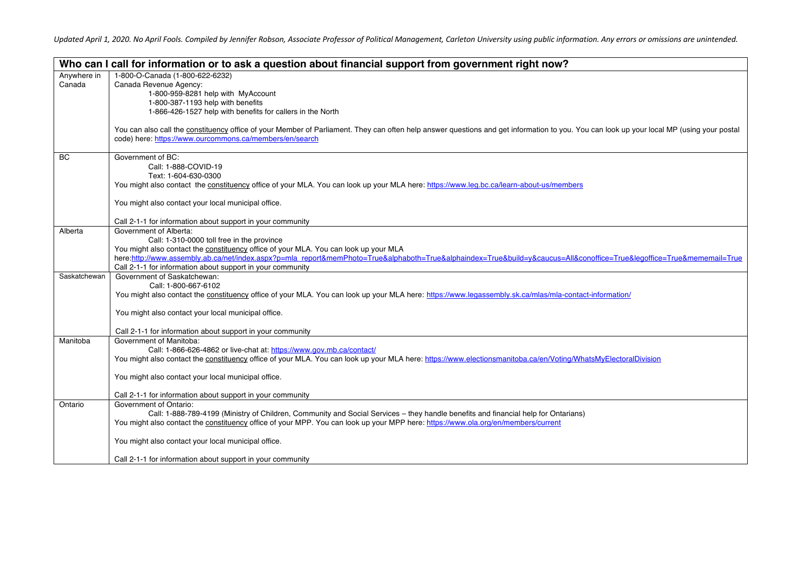|              | Who can I call for information or to ask a question about financial support from government right now?                                                                                    |
|--------------|-------------------------------------------------------------------------------------------------------------------------------------------------------------------------------------------|
| Anywhere in  | 1-800-O-Canada (1-800-622-6232)                                                                                                                                                           |
| Canada       | Canada Revenue Agency:                                                                                                                                                                    |
|              | 1-800-959-8281 help with MyAccount                                                                                                                                                        |
|              | 1-800-387-1193 help with benefits                                                                                                                                                         |
|              | 1-866-426-1527 help with benefits for callers in the North                                                                                                                                |
|              |                                                                                                                                                                                           |
|              | You can also call the constituency office of your Member of Parliament. They can often help answer questions and get information to you. You can look up your local MP (using your postal |
|              | code) here: https://www.ourcommons.ca/members/en/search                                                                                                                                   |
|              |                                                                                                                                                                                           |
| <b>BC</b>    | Government of BC:                                                                                                                                                                         |
|              | Call: 1-888-COVID-19                                                                                                                                                                      |
|              | Text: 1-604-630-0300                                                                                                                                                                      |
|              | You might also contact the constituency office of your MLA. You can look up your MLA here: https://www.leg.bc.ca/learn-about-us/members                                                   |
|              |                                                                                                                                                                                           |
|              | You might also contact your local municipal office.                                                                                                                                       |
|              | Call 2-1-1 for information about support in your community                                                                                                                                |
| Alberta      | Government of Alberta:                                                                                                                                                                    |
|              | Call: 1-310-0000 toll free in the province                                                                                                                                                |
|              | You might also contact the constituency office of your MLA. You can look up your MLA                                                                                                      |
|              | here:http://www.assembly.ab.ca/net/index.aspx?p=mla_report&memPhoto=True&alphaboth=True&alphaindex=True&build=v&caucus=All&conoffice=True&legoffice=True&mememail=True                    |
|              | Call 2-1-1 for information about support in your community                                                                                                                                |
| Saskatchewan | Government of Saskatchewan:                                                                                                                                                               |
|              | Call: 1-800-667-6102                                                                                                                                                                      |
|              | You might also contact the constituency office of your MLA. You can look up your MLA here: https://www.legassembly.sk.ca/mlas/mla-contact-information/                                    |
|              |                                                                                                                                                                                           |
|              | You might also contact your local municipal office.                                                                                                                                       |
|              |                                                                                                                                                                                           |
|              | Call 2-1-1 for information about support in your community                                                                                                                                |
| Manitoba     | Government of Manitoba:                                                                                                                                                                   |
|              | Call: 1-866-626-4862 or live-chat at: https://www.gov.mb.ca/contact/                                                                                                                      |
|              | You might also contact the constituency office of your MLA. You can look up your MLA here: https://www.electionsmanitoba.ca/en/Voting/WhatsMyElectoralDivision                            |
|              |                                                                                                                                                                                           |
|              | You might also contact your local municipal office.                                                                                                                                       |
|              | Call 2-1-1 for information about support in your community                                                                                                                                |
| Ontario      | Government of Ontario:                                                                                                                                                                    |
|              | Call: 1-888-789-4199 (Ministry of Children, Community and Social Services - they handle benefits and financial help for Ontarians)                                                        |
|              | You might also contact the constituency office of your MPP. You can look up your MPP here: https://www.ola.org/en/members/current                                                         |
|              |                                                                                                                                                                                           |
|              | You might also contact your local municipal office.                                                                                                                                       |
|              |                                                                                                                                                                                           |
|              | Call 2-1-1 for information about support in your community                                                                                                                                |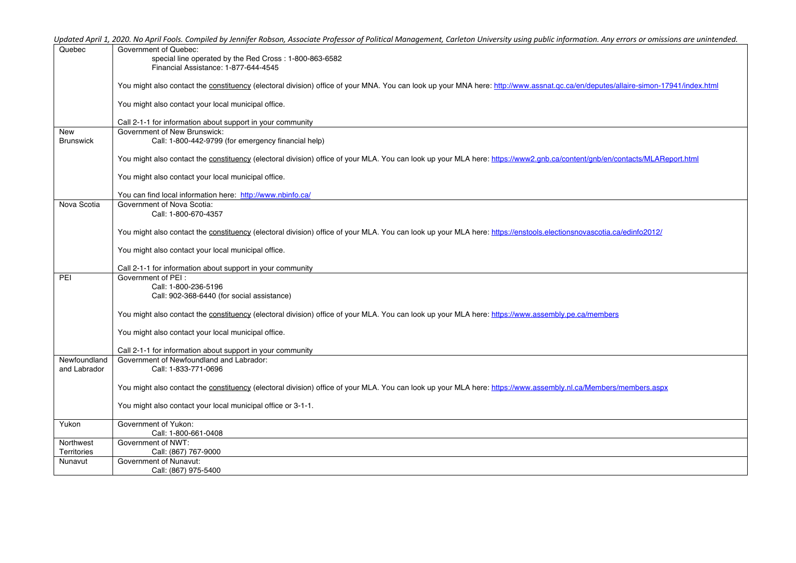| Quebec           | Government of Quebec:                                                                                                                                                             |
|------------------|-----------------------------------------------------------------------------------------------------------------------------------------------------------------------------------|
|                  | special line operated by the Red Cross: 1-800-863-6582                                                                                                                            |
|                  | Financial Assistance: 1-877-644-4545                                                                                                                                              |
|                  |                                                                                                                                                                                   |
|                  | You might also contact the constituency (electoral division) office of your MNA. You can look up your MNA here: http://www.assnat.qc.ca/en/deputes/allaire-simon-17941/index.html |
|                  |                                                                                                                                                                                   |
|                  | You might also contact your local municipal office.                                                                                                                               |
|                  |                                                                                                                                                                                   |
|                  | Call 2-1-1 for information about support in your community<br>Government of New Brunswick:                                                                                        |
| New              |                                                                                                                                                                                   |
| <b>Brunswick</b> | Call: 1-800-442-9799 (for emergency financial help)                                                                                                                               |
|                  | You might also contact the constituency (electoral division) office of your MLA. You can look up your MLA here: https://www2.qnb.ca/content/qnb/en/contacts/MLAReport.html        |
|                  | You might also contact your local municipal office.                                                                                                                               |
|                  |                                                                                                                                                                                   |
|                  | You can find local information here: http://www.nbinfo.ca/                                                                                                                        |
| Nova Scotia      | Government of Nova Scotia:                                                                                                                                                        |
|                  | Call: 1-800-670-4357                                                                                                                                                              |
|                  |                                                                                                                                                                                   |
|                  | You might also contact the constituency (electoral division) office of your MLA. You can look up your MLA here: https://enstools.electionsnovascotia.ca/edinfo2012/               |
|                  |                                                                                                                                                                                   |
|                  | You might also contact your local municipal office.                                                                                                                               |
|                  | Call 2-1-1 for information about support in your community                                                                                                                        |
| PEI              | Government of PFI ·                                                                                                                                                               |
|                  | Call: 1-800-236-5196                                                                                                                                                              |
|                  | Call: 902-368-6440 (for social assistance)                                                                                                                                        |
|                  |                                                                                                                                                                                   |
|                  | You might also contact the constituency (electoral division) office of your MLA. You can look up your MLA here: https://www.assembly.pe.ca/members                                |
|                  |                                                                                                                                                                                   |
|                  | You might also contact your local municipal office.                                                                                                                               |
|                  |                                                                                                                                                                                   |
|                  | Call 2-1-1 for information about support in your community                                                                                                                        |
| Newfoundland     | Government of Newfoundland and Labrador:                                                                                                                                          |
| and Labrador     | Call: 1-833-771-0696                                                                                                                                                              |
|                  | You might also contact the constituency (electoral division) office of your MLA. You can look up your MLA here: https://www.assembly.nl.ca/Members/members.aspx                   |
|                  |                                                                                                                                                                                   |
|                  | You might also contact your local municipal office or 3-1-1.                                                                                                                      |
|                  |                                                                                                                                                                                   |
| Yukon            | Government of Yukon:                                                                                                                                                              |
|                  | Call: 1-800-661-0408                                                                                                                                                              |
| Northwest        | Government of NWT:                                                                                                                                                                |
| Territories      | Call: (867) 767-9000                                                                                                                                                              |
| Nunavut          | Government of Nunavut:                                                                                                                                                            |
|                  | Call: (867) 975-5400                                                                                                                                                              |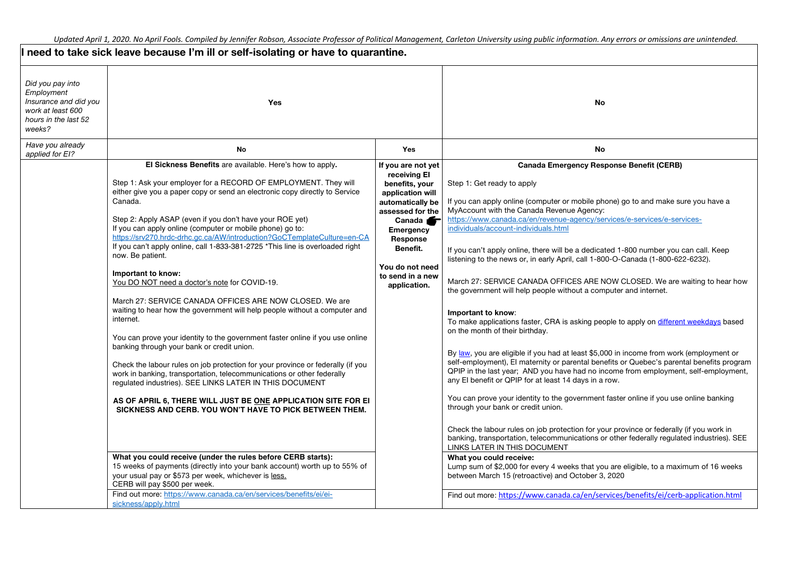|                                                                                                                | I need to take sick leave because I'm ill or self-isolating or have to quarantine.                                                                                                                                                                                                                                                                                                                                                                                                                                                                                                                                                                                                                                                                                                                                                                                                                                                                                                                                                                                                                                                                                                                                                                                                                                                                                                                                                                                                   |                                                                                                                                                                                                                                    |                                                                                                                                                                                                                                                                                                                                                                                                                                                                                                                                                                                                                                                                                                                                                                                                                                                                                                                                                                                                                                                                                                                                                                                                                                                                                                                                                                                                                                                                                                                                                                                                                                                                                              |  |
|----------------------------------------------------------------------------------------------------------------|--------------------------------------------------------------------------------------------------------------------------------------------------------------------------------------------------------------------------------------------------------------------------------------------------------------------------------------------------------------------------------------------------------------------------------------------------------------------------------------------------------------------------------------------------------------------------------------------------------------------------------------------------------------------------------------------------------------------------------------------------------------------------------------------------------------------------------------------------------------------------------------------------------------------------------------------------------------------------------------------------------------------------------------------------------------------------------------------------------------------------------------------------------------------------------------------------------------------------------------------------------------------------------------------------------------------------------------------------------------------------------------------------------------------------------------------------------------------------------------|------------------------------------------------------------------------------------------------------------------------------------------------------------------------------------------------------------------------------------|----------------------------------------------------------------------------------------------------------------------------------------------------------------------------------------------------------------------------------------------------------------------------------------------------------------------------------------------------------------------------------------------------------------------------------------------------------------------------------------------------------------------------------------------------------------------------------------------------------------------------------------------------------------------------------------------------------------------------------------------------------------------------------------------------------------------------------------------------------------------------------------------------------------------------------------------------------------------------------------------------------------------------------------------------------------------------------------------------------------------------------------------------------------------------------------------------------------------------------------------------------------------------------------------------------------------------------------------------------------------------------------------------------------------------------------------------------------------------------------------------------------------------------------------------------------------------------------------------------------------------------------------------------------------------------------------|--|
| Did you pay into<br>Employment<br>Insurance and did you<br>work at least 600<br>hours in the last 52<br>weeks? | Yes                                                                                                                                                                                                                                                                                                                                                                                                                                                                                                                                                                                                                                                                                                                                                                                                                                                                                                                                                                                                                                                                                                                                                                                                                                                                                                                                                                                                                                                                                  |                                                                                                                                                                                                                                    | <b>No</b>                                                                                                                                                                                                                                                                                                                                                                                                                                                                                                                                                                                                                                                                                                                                                                                                                                                                                                                                                                                                                                                                                                                                                                                                                                                                                                                                                                                                                                                                                                                                                                                                                                                                                    |  |
| Have you already<br>applied for EI?                                                                            | <b>No</b>                                                                                                                                                                                                                                                                                                                                                                                                                                                                                                                                                                                                                                                                                                                                                                                                                                                                                                                                                                                                                                                                                                                                                                                                                                                                                                                                                                                                                                                                            | <b>Yes</b>                                                                                                                                                                                                                         | No.                                                                                                                                                                                                                                                                                                                                                                                                                                                                                                                                                                                                                                                                                                                                                                                                                                                                                                                                                                                                                                                                                                                                                                                                                                                                                                                                                                                                                                                                                                                                                                                                                                                                                          |  |
|                                                                                                                | El Sickness Benefits are available. Here's how to apply.<br>Step 1: Ask your employer for a RECORD OF EMPLOYMENT. They will<br>either give you a paper copy or send an electronic copy directly to Service<br>Canada.<br>Step 2: Apply ASAP (even if you don't have your ROE yet)<br>If you can apply online (computer or mobile phone) go to:<br>https://srv270.hrdc-drhc.gc.ca/AW/introduction?GoCTemplateCulture=en-CA<br>If you can't apply online, call 1-833-381-2725 *This line is overloaded right<br>now. Be patient.<br>Important to know:<br>You DO NOT need a doctor's note for COVID-19.<br>March 27: SERVICE CANADA OFFICES ARE NOW CLOSED. We are<br>waiting to hear how the government will help people without a computer and<br>internet.<br>You can prove your identity to the government faster online if you use online<br>banking through your bank or credit union.<br>Check the labour rules on job protection for your province or federally (if you<br>work in banking, transportation, telecommunications or other federally<br>regulated industries). SEE LINKS LATER IN THIS DOCUMENT<br>AS OF APRIL 6, THERE WILL JUST BE ONE APPLICATION SITE FOR EI<br>SICKNESS AND CERB. YOU WON'T HAVE TO PICK BETWEEN THEM.<br>What you could receive (under the rules before CERB starts):<br>15 weeks of payments (directly into your bank account) worth up to 55% of<br>your usual pay or \$573 per week, whichever is less.<br>CERB will pay \$500 per week. | If you are not yet<br>receiving El<br>benefits, your<br>application will<br>automatically be<br>assessed for the<br>Canada <b>Sang</b><br>Emergency<br>Response<br>Benefit.<br>You do not need<br>to send in a new<br>application. | <b>Canada Emergency Response Benefit (CERB)</b><br>Step 1: Get ready to apply<br>If you can apply online (computer or mobile phone) go to and make sure you have a<br>MyAccount with the Canada Revenue Agency:<br>https://www.canada.ca/en/revenue-agency/services/e-services/e-services-<br>individuals/account-individuals.html<br>If you can't apply online, there will be a dedicated 1-800 number you can call. Keep<br>listening to the news or, in early April, call 1-800-O-Canada (1-800-622-6232).<br>March 27: SERVICE CANADA OFFICES ARE NOW CLOSED. We are waiting to hear how<br>the government will help people without a computer and internet.<br>Important to know:<br>To make applications faster, CRA is asking people to apply on different weekdays based<br>on the month of their birthday.<br>By law, you are eligible if you had at least \$5,000 in income from work (employment or<br>self-employment), El maternity or parental benefits or Quebec's parental benefits program<br>QPIP in the last year; AND you have had no income from employment, self-employment,<br>any El benefit or QPIP for at least 14 days in a row.<br>You can prove your identity to the government faster online if you use online banking<br>through your bank or credit union.<br>Check the labour rules on job protection for your province or federally (if you work in<br>banking, transportation, telecommunications or other federally regulated industries). SEE<br>LINKS LATER IN THIS DOCUMENT<br>What you could receive:<br>Lump sum of \$2,000 for every 4 weeks that you are eligible, to a maximum of 16 weeks<br>between March 15 (retroactive) and October 3, 2020 |  |
|                                                                                                                | Find out more: https://www.canada.ca/en/services/benefits/ei/ei-<br>sickness/apply.html                                                                                                                                                                                                                                                                                                                                                                                                                                                                                                                                                                                                                                                                                                                                                                                                                                                                                                                                                                                                                                                                                                                                                                                                                                                                                                                                                                                              |                                                                                                                                                                                                                                    | Find out more: https://www.canada.ca/en/services/benefits/ei/cerb-application.html                                                                                                                                                                                                                                                                                                                                                                                                                                                                                                                                                                                                                                                                                                                                                                                                                                                                                                                                                                                                                                                                                                                                                                                                                                                                                                                                                                                                                                                                                                                                                                                                           |  |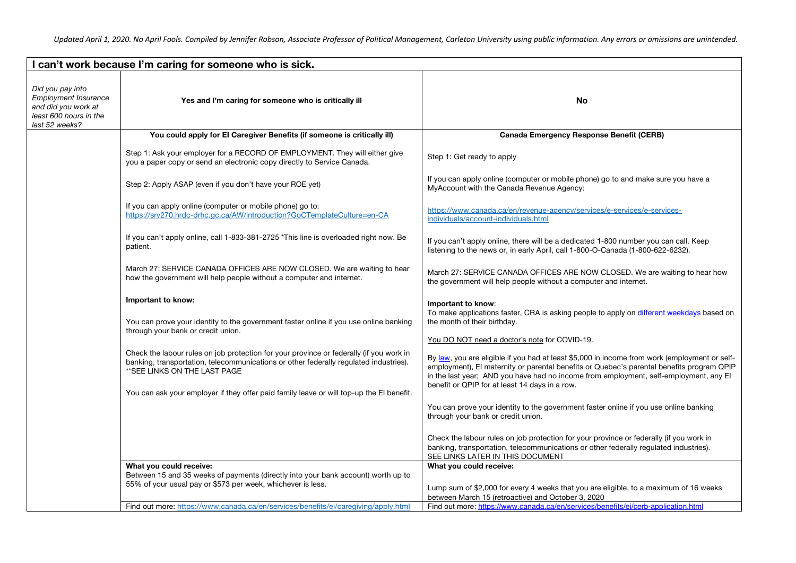| can't work because I'm caring for someone who is sick.                                                             |                                                                                                                                                                                                                                                                                                               |                                                                                                                                                                                                                                                                                                                                       |
|--------------------------------------------------------------------------------------------------------------------|---------------------------------------------------------------------------------------------------------------------------------------------------------------------------------------------------------------------------------------------------------------------------------------------------------------|---------------------------------------------------------------------------------------------------------------------------------------------------------------------------------------------------------------------------------------------------------------------------------------------------------------------------------------|
| Did you pay into<br><b>Employment Insurance</b><br>and did you work at<br>least 600 hours in the<br>last 52 weeks? | Yes and I'm caring for someone who is critically ill                                                                                                                                                                                                                                                          | No                                                                                                                                                                                                                                                                                                                                    |
|                                                                                                                    | You could apply for El Caregiver Benefits (if someone is critically ill)                                                                                                                                                                                                                                      | <b>Canada Emergency Response Benefit (CERB)</b>                                                                                                                                                                                                                                                                                       |
|                                                                                                                    | Step 1: Ask your employer for a RECORD OF EMPLOYMENT. They will either give<br>you a paper copy or send an electronic copy directly to Service Canada.                                                                                                                                                        | Step 1: Get ready to apply                                                                                                                                                                                                                                                                                                            |
|                                                                                                                    | Step 2: Apply ASAP (even if you don't have your ROE yet)                                                                                                                                                                                                                                                      | If you can apply online (computer or mobile phone) go to and make sure you have a<br>MyAccount with the Canada Revenue Agency:                                                                                                                                                                                                        |
|                                                                                                                    | If you can apply online (computer or mobile phone) go to:<br>https://srv270.hrdc-drhc.gc.ca/AW/introduction?GoCTemplateCulture=en-CA                                                                                                                                                                          | https://www.canada.ca/en/revenue-agency/services/e-services/e-services-<br>individuals/account-individuals.html                                                                                                                                                                                                                       |
|                                                                                                                    | If you can't apply online, call 1-833-381-2725 *This line is overloaded right now. Be<br>patient.                                                                                                                                                                                                             | If you can't apply online, there will be a dedicated 1-800 number you can call. Keep<br>listening to the news or, in early April, call 1-800-O-Canada (1-800-622-6232).                                                                                                                                                               |
|                                                                                                                    | March 27: SERVICE CANADA OFFICES ARE NOW CLOSED. We are waiting to hear<br>how the government will help people without a computer and internet.                                                                                                                                                               | March 27: SERVICE CANADA OFFICES ARE NOW CLOSED. We are waiting to hear how<br>the government will help people without a computer and internet.                                                                                                                                                                                       |
|                                                                                                                    | Important to know:<br>You can prove your identity to the government faster online if you use online banking<br>through your bank or credit union.                                                                                                                                                             | Important to know:<br>To make applications faster, CRA is asking people to apply on different weekdays based on<br>the month of their birthday.                                                                                                                                                                                       |
|                                                                                                                    |                                                                                                                                                                                                                                                                                                               | You DO NOT need a doctor's note for COVID-19.                                                                                                                                                                                                                                                                                         |
|                                                                                                                    | Check the labour rules on job protection for your province or federally (if you work in<br>banking, transportation, telecommunications or other federally regulated industries).<br>** SEE LINKS ON THE LAST PAGE<br>You can ask your employer if they offer paid family leave or will top-up the El benefit. | By law, you are eligible if you had at least \$5,000 in income from work (employment or self-<br>employment), El maternity or parental benefits or Quebec's parental benefits program QPIP<br>in the last year; AND you have had no income from employment, self-employment, any El<br>benefit or QPIP for at least 14 days in a row. |
|                                                                                                                    |                                                                                                                                                                                                                                                                                                               | You can prove your identity to the government faster online if you use online banking<br>through your bank or credit union.                                                                                                                                                                                                           |
|                                                                                                                    |                                                                                                                                                                                                                                                                                                               | Check the labour rules on job protection for your province or federally (if you work in<br>banking, transportation, telecommunications or other federally regulated industries).<br>SEE LINKS LATER IN THIS DOCUMENT                                                                                                                  |
|                                                                                                                    | What you could receive:                                                                                                                                                                                                                                                                                       | What you could receive:                                                                                                                                                                                                                                                                                                               |
|                                                                                                                    | Between 15 and 35 weeks of payments (directly into your bank account) worth up to<br>55% of your usual pay or \$573 per week, whichever is less.                                                                                                                                                              |                                                                                                                                                                                                                                                                                                                                       |
|                                                                                                                    |                                                                                                                                                                                                                                                                                                               | Lump sum of \$2,000 for every 4 weeks that you are eligible, to a maximum of 16 weeks                                                                                                                                                                                                                                                 |
|                                                                                                                    | Find out more: https://www.canada.ca/en/services/benefits/ei/caregiving/apply.html                                                                                                                                                                                                                            | between March 15 (retroactive) and October 3, 2020<br>Find out more: https://www.canada.ca/en/services/benefits/ei/cerb-application.html                                                                                                                                                                                              |
|                                                                                                                    |                                                                                                                                                                                                                                                                                                               |                                                                                                                                                                                                                                                                                                                                       |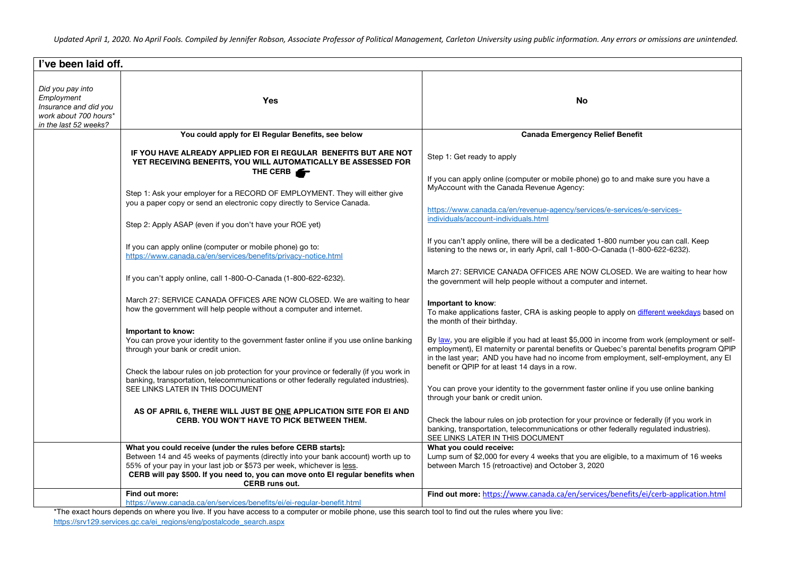| I've been laid off.                                                                                       |                                                                                                                                                                                                                                                                                                                                                                           |                                                                                                                                                                                                                                                                                                                                                                                                                                                                      |
|-----------------------------------------------------------------------------------------------------------|---------------------------------------------------------------------------------------------------------------------------------------------------------------------------------------------------------------------------------------------------------------------------------------------------------------------------------------------------------------------------|----------------------------------------------------------------------------------------------------------------------------------------------------------------------------------------------------------------------------------------------------------------------------------------------------------------------------------------------------------------------------------------------------------------------------------------------------------------------|
| Did you pay into<br>Employment<br>Insurance and did you<br>work about 700 hours*<br>in the last 52 weeks? | Yes                                                                                                                                                                                                                                                                                                                                                                       | <b>No</b>                                                                                                                                                                                                                                                                                                                                                                                                                                                            |
|                                                                                                           | You could apply for El Regular Benefits, see below                                                                                                                                                                                                                                                                                                                        | <b>Canada Emergency Relief Benefit</b>                                                                                                                                                                                                                                                                                                                                                                                                                               |
|                                                                                                           | IF YOU HAVE ALREADY APPLIED FOR EI REGULAR BENEFITS BUT ARE NOT<br>YET RECEIVING BENEFITS, YOU WILL AUTOMATICALLY BE ASSESSED FOR<br>THE CERB<br>Step 1: Ask your employer for a RECORD OF EMPLOYMENT. They will either give<br>you a paper copy or send an electronic copy directly to Service Canada.                                                                   | Step 1: Get ready to apply<br>If you can apply online (computer or mobile phone) go to and make sure you have a<br>MyAccount with the Canada Revenue Agency:<br>https://www.canada.ca/en/revenue-agency/services/e-services/e-services-<br>individuals/account-individuals.html                                                                                                                                                                                      |
|                                                                                                           | Step 2: Apply ASAP (even if you don't have your ROE yet)                                                                                                                                                                                                                                                                                                                  |                                                                                                                                                                                                                                                                                                                                                                                                                                                                      |
|                                                                                                           | If you can apply online (computer or mobile phone) go to:<br>https://www.canada.ca/en/services/benefits/privacy-notice.html                                                                                                                                                                                                                                               | If you can't apply online, there will be a dedicated 1-800 number you can call. Keep<br>listening to the news or, in early April, call 1-800-O-Canada (1-800-622-6232).                                                                                                                                                                                                                                                                                              |
|                                                                                                           | If you can't apply online, call 1-800-O-Canada (1-800-622-6232).                                                                                                                                                                                                                                                                                                          | March 27: SERVICE CANADA OFFICES ARE NOW CLOSED. We are waiting to hear how<br>the government will help people without a computer and internet.                                                                                                                                                                                                                                                                                                                      |
|                                                                                                           | March 27: SERVICE CANADA OFFICES ARE NOW CLOSED. We are waiting to hear<br>how the government will help people without a computer and internet.                                                                                                                                                                                                                           | Important to know:<br>To make applications faster, CRA is asking people to apply on different weekdays based on<br>the month of their birthday.                                                                                                                                                                                                                                                                                                                      |
|                                                                                                           | Important to know:<br>You can prove your identity to the government faster online if you use online banking<br>through your bank or credit union.<br>Check the labour rules on job protection for your province or federally (if you work in<br>banking, transportation, telecommunications or other federally regulated industries).<br>SEE LINKS LATER IN THIS DOCUMENT | By law, you are eligible if you had at least \$5,000 in income from work (employment or self-<br>employment), El maternity or parental benefits or Quebec's parental benefits program QPIP<br>in the last year; AND you have had no income from employment, self-employment, any El<br>benefit or QPIP for at least 14 days in a row.<br>You can prove your identity to the government faster online if you use online banking<br>through your bank or credit union. |
|                                                                                                           | AS OF APRIL 6, THERE WILL JUST BE ONE APPLICATION SITE FOR EI AND<br>CERB. YOU WON'T HAVE TO PICK BETWEEN THEM.                                                                                                                                                                                                                                                           | Check the labour rules on job protection for your province or federally (if you work in<br>banking, transportation, telecommunications or other federally regulated industries).<br>SEE LINKS LATER IN THIS DOCUMENT                                                                                                                                                                                                                                                 |
|                                                                                                           | What you could receive (under the rules before CERB starts):<br>Between 14 and 45 weeks of payments (directly into your bank account) worth up to<br>55% of your pay in your last job or \$573 per week, whichever is less.<br>CERB will pay \$500. If you need to, you can move onto EI regular benefits when<br>CERB runs out.                                          | What you could receive:<br>Lump sum of \$2,000 for every 4 weeks that you are eligible, to a maximum of 16 weeks<br>between March 15 (retroactive) and October 3, 2020                                                                                                                                                                                                                                                                                               |
|                                                                                                           | Find out more:<br>https://www.canada.ca/en/services/benefits/ei/ei-regular-benefit.html                                                                                                                                                                                                                                                                                   | Find out more: https://www.canada.ca/en/services/benefits/ei/cerb-application.html                                                                                                                                                                                                                                                                                                                                                                                   |
|                                                                                                           |                                                                                                                                                                                                                                                                                                                                                                           |                                                                                                                                                                                                                                                                                                                                                                                                                                                                      |

\*The exact hours depends on where you live. If you have access to a computer or mobile phone, use this search tool to find out the rules where you live: https://srv129.services.gc.ca/ei\_regions/eng/postalcode\_search.aspx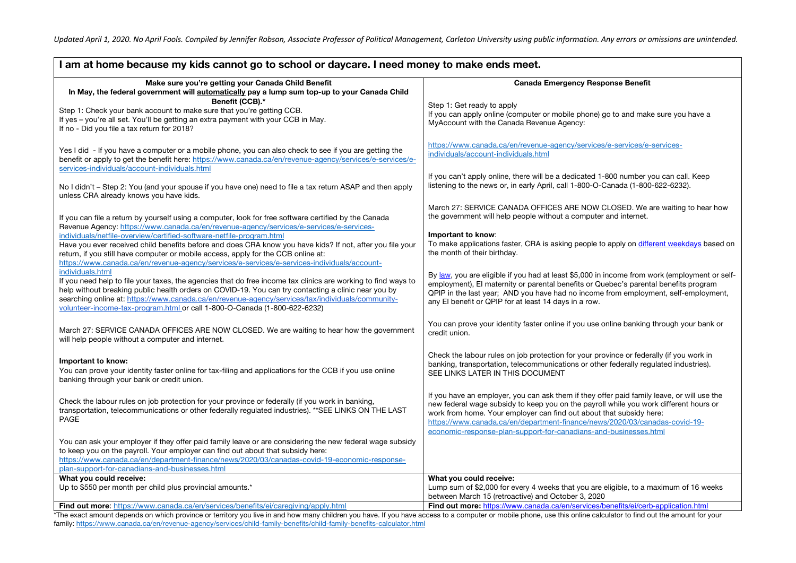| I am at home because my kids cannot go to school or daycare. I need money to make ends meet.                                                                                                                                                                                                                                                                                                                                                                                                                                                                               |                                                                                                                                                                                      |  |
|----------------------------------------------------------------------------------------------------------------------------------------------------------------------------------------------------------------------------------------------------------------------------------------------------------------------------------------------------------------------------------------------------------------------------------------------------------------------------------------------------------------------------------------------------------------------------|--------------------------------------------------------------------------------------------------------------------------------------------------------------------------------------|--|
| Make sure you're getting your Canada Child Benefit<br>In May, the federal government will automatically pay a lump sum top-up to your Canada Child<br>Benefit (CCB).*<br>Step 1: Get ready to apply<br>Step 1: Check your bank account to make sure that you're getting CCB.<br>If you can apply online (computer or mobile phone) go to and make sure you have a<br>If yes - you're all set. You'll be getting an extra payment with your CCB in May.<br>MyAccount with the Canada Revenue Agency:                                                                        | <b>Canada Emergency Response Benefit</b>                                                                                                                                             |  |
| If no - Did you file a tax return for 2018?<br>https://www.canada.ca/en/revenue-agency/services/e-services/e-services-<br>Yes I did - If you have a computer or a mobile phone, you can also check to see if you are getting the<br>individuals/account-individuals.html<br>benefit or apply to get the benefit here: https://www.canada.ca/en/revenue-agency/services/e-services/e-<br>services-individuals/account-individuals.html<br>If you can't apply online, there will be a dedicated 1-800 number you can call. Keep                                              |                                                                                                                                                                                      |  |
| listening to the news or, in early April, call 1-800-O-Canada (1-800-622-6232).<br>No I didn't – Step 2: You (and your spouse if you have one) need to file a tax return ASAP and then apply<br>unless CRA already knows you have kids.                                                                                                                                                                                                                                                                                                                                    |                                                                                                                                                                                      |  |
| the government will help people without a computer and internet.<br>If you can file a return by yourself using a computer, look for free software certified by the Canada<br>Revenue Agency: https://www.canada.ca/en/revenue-agency/services/e-services/e-services-                                                                                                                                                                                                                                                                                                       | March 27: SERVICE CANADA OFFICES ARE NOW CLOSED. We are waiting to hear how                                                                                                          |  |
| Important to know:<br>individuals/netfile-overview/certified-software-netfile-program.html<br>Have you ever received child benefits before and does CRA know you have kids? If not, after you file your<br>the month of their birthday.<br>return, if you still have computer or mobile access, apply for the CCB online at:<br>https://www.canada.ca/en/revenue-agency/services/e-services/e-services-individuals/account-                                                                                                                                                | To make applications faster, CRA is asking people to apply on different weekdays based on                                                                                            |  |
| individuals.html<br>If you need help to file your taxes, the agencies that do free income tax clinics are working to find ways to<br>employment), El maternity or parental benefits or Quebec's parental benefits program<br>help without breaking public health orders on COVID-19. You can try contacting a clinic near you by<br>searching online at: https://www.canada.ca/en/revenue-agency/services/tax/individuals/community-<br>any El benefit or QPIP for at least 14 days in a row.<br>volunteer-income-tax-program.html or call 1-800-O-Canada (1-800-622-6232) | By law, you are eligible if you had at least \$5,000 in income from work (employment or self-<br>QPIP in the last year; AND you have had no income from employment, self-employment, |  |
| March 27: SERVICE CANADA OFFICES ARE NOW CLOSED. We are waiting to hear how the government<br>credit union.<br>will help people without a computer and internet.                                                                                                                                                                                                                                                                                                                                                                                                           | You can prove your identity faster online if you use online banking through your bank or                                                                                             |  |
| Check the labour rules on job protection for your province or federally (if you work in<br>Important to know:<br>banking, transportation, telecommunications or other federally regulated industries).<br>You can prove your identity faster online for tax-filing and applications for the CCB if you use online<br>SEE LINKS LATER IN THIS DOCUMENT<br>banking through your bank or credit union.                                                                                                                                                                        |                                                                                                                                                                                      |  |
| Check the labour rules on job protection for your province or federally (if you work in banking,<br>new federal wage subsidy to keep you on the payroll while you work different hours or<br>transportation, telecommunications or other federally regulated industries). **SEE LINKS ON THE LAST<br>work from home. Your employer can find out about that subsidy here:<br>PAGE<br>https://www.canada.ca/en/department-finance/news/2020/03/canadas-covid-19-<br>economic-response-plan-support-for-canadians-and-businesses.html                                         | If you have an employer, you can ask them if they offer paid family leave, or will use the                                                                                           |  |
| You can ask your employer if they offer paid family leave or are considering the new federal wage subsidy<br>to keep you on the payroll. Your employer can find out about that subsidy here:<br>https://www.canada.ca/en/department-finance/news/2020/03/canadas-covid-19-economic-response-                                                                                                                                                                                                                                                                               |                                                                                                                                                                                      |  |
| plan-support-for-canadians-and-businesses.html                                                                                                                                                                                                                                                                                                                                                                                                                                                                                                                             |                                                                                                                                                                                      |  |
| What you could receive:<br>What you could receive:                                                                                                                                                                                                                                                                                                                                                                                                                                                                                                                         |                                                                                                                                                                                      |  |
| Up to \$550 per month per child plus provincial amounts.*<br>between March 15 (retroactive) and October 3, 2020                                                                                                                                                                                                                                                                                                                                                                                                                                                            | Lump sum of \$2,000 for every 4 weeks that you are eligible, to a maximum of 16 weeks                                                                                                |  |
| Find out more: https://www.canada.ca/en/services/benefits/ei/cerb-application.html<br><b>Find out more:</b> https://www.canada.ca/en/services/benefits/ei/caregiving/apply.html<br>The exact amount depends on which province or territory you live in and how many children you have If you have access to a computer or mobile phone, use this opline calculator to find out the amount for your                                                                                                                                                                         |                                                                                                                                                                                      |  |

\*The exact amount depends on which province or territory you live in and how many children you have. If you have access to a computer or mobile phone, use this online calculator to find out the amount for your family: https://www.canada.ca/en/revenue-agency/services/child-family-benefits/child-family-benefits-calculator.html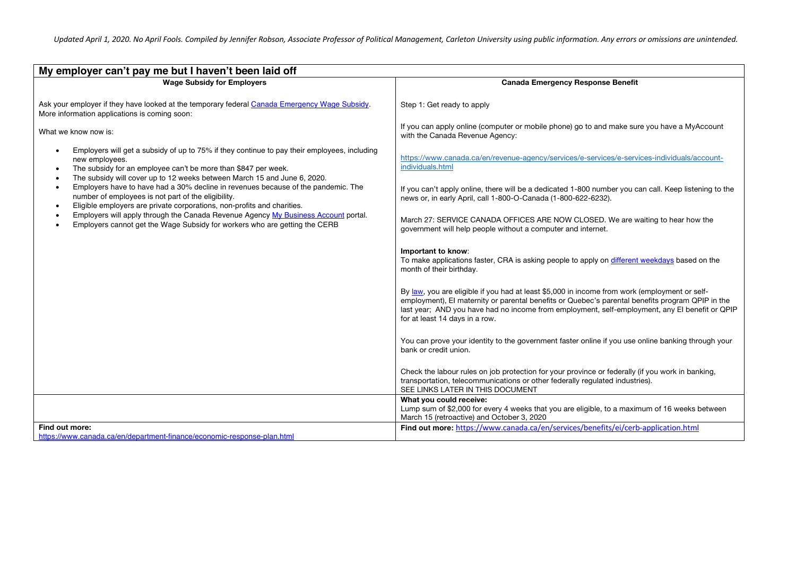| My employer can't pay me but I haven't been laid off                                                                                                                                                                                                                                                                                                                                                                                                         |                                                                                                                                                                                                                                                                                                                                       |  |  |
|--------------------------------------------------------------------------------------------------------------------------------------------------------------------------------------------------------------------------------------------------------------------------------------------------------------------------------------------------------------------------------------------------------------------------------------------------------------|---------------------------------------------------------------------------------------------------------------------------------------------------------------------------------------------------------------------------------------------------------------------------------------------------------------------------------------|--|--|
| <b>Wage Subsidy for Employers</b>                                                                                                                                                                                                                                                                                                                                                                                                                            | <b>Canada Emergency Response Benefit</b>                                                                                                                                                                                                                                                                                              |  |  |
| Ask your employer if they have looked at the temporary federal Canada Emergency Wage Subsidy.<br>More information applications is coming soon:<br>What we know now is:                                                                                                                                                                                                                                                                                       | Step 1: Get ready to apply<br>If you can apply online (computer or mobile phone) go to and make sure you have a MyAccount<br>with the Canada Revenue Agency:                                                                                                                                                                          |  |  |
| Employers will get a subsidy of up to 75% if they continue to pay their employees, including<br>$\bullet$<br>new employees.<br>The subsidy for an employee can't be more than \$847 per week.<br>$\bullet$<br>The subsidy will cover up to 12 weeks between March 15 and June 6, 2020.<br>$\bullet$<br>Employers have to have had a 30% decline in revenues because of the pandemic. The<br>$\bullet$<br>number of employees is not part of the eligibility. | https://www.canada.ca/en/revenue-agency/services/e-services/e-services-individuals/account-<br>individuals.html<br>If you can't apply online, there will be a dedicated 1-800 number you can call. Keep listening to the<br>news or, in early April, call 1-800-O-Canada (1-800-622-6232).                                            |  |  |
| Eligible employers are private corporations, non-profits and charities.<br>$\bullet$<br>Employers will apply through the Canada Revenue Agency My Business Account portal.<br>$\bullet$<br>Employers cannot get the Wage Subsidy for workers who are getting the CERB<br>$\bullet$                                                                                                                                                                           | March 27: SERVICE CANADA OFFICES ARE NOW CLOSED. We are waiting to hear how the<br>government will help people without a computer and internet.                                                                                                                                                                                       |  |  |
|                                                                                                                                                                                                                                                                                                                                                                                                                                                              | Important to know:<br>To make applications faster, CRA is asking people to apply on different weekdays based on the<br>month of their birthday.                                                                                                                                                                                       |  |  |
|                                                                                                                                                                                                                                                                                                                                                                                                                                                              | By law, you are eligible if you had at least \$5,000 in income from work (employment or self-<br>employment), El maternity or parental benefits or Quebec's parental benefits program QPIP in the<br>last year; AND you have had no income from employment, self-employment, any El benefit or QPIP<br>for at least 14 days in a row. |  |  |
|                                                                                                                                                                                                                                                                                                                                                                                                                                                              | You can prove your identity to the government faster online if you use online banking through your<br>bank or credit union.                                                                                                                                                                                                           |  |  |
|                                                                                                                                                                                                                                                                                                                                                                                                                                                              | Check the labour rules on job protection for your province or federally (if you work in banking,<br>transportation, telecommunications or other federally regulated industries).<br>SEE LINKS LATER IN THIS DOCUMENT                                                                                                                  |  |  |
|                                                                                                                                                                                                                                                                                                                                                                                                                                                              | What you could receive:<br>Lump sum of \$2,000 for every 4 weeks that you are eligible, to a maximum of 16 weeks between<br>March 15 (retroactive) and October 3, 2020                                                                                                                                                                |  |  |
| Find out more:<br>https://www.canada.ca/en/department-finance/economic-response-plan.html                                                                                                                                                                                                                                                                                                                                                                    | Find out more: https://www.canada.ca/en/services/benefits/ei/cerb-application.html                                                                                                                                                                                                                                                    |  |  |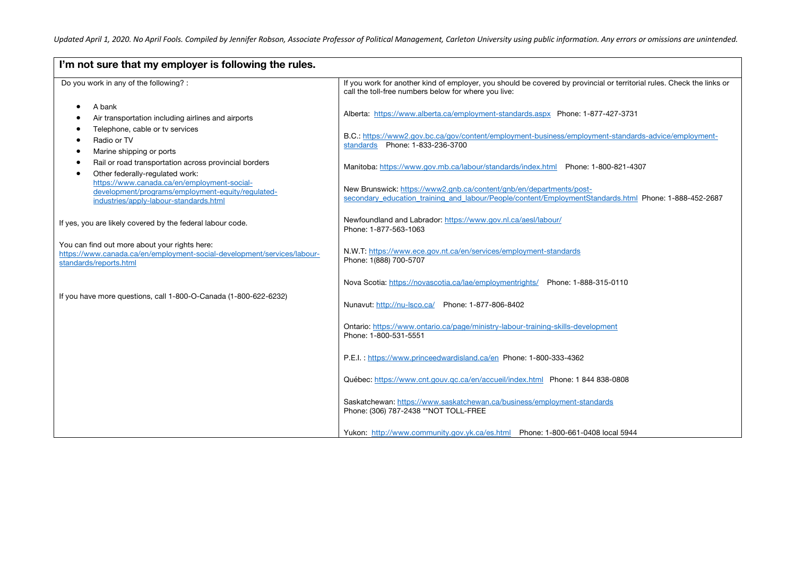| I'm not sure that my employer is following the rules.                                                                                              |                                                                                                                                                                                |  |
|----------------------------------------------------------------------------------------------------------------------------------------------------|--------------------------------------------------------------------------------------------------------------------------------------------------------------------------------|--|
| Do you work in any of the following? :                                                                                                             | If you work for another kind of employer, you should be covered by provincial or territorial rules. Check the links or<br>call the toll-free numbers below for where you live: |  |
| A bank<br>$\bullet$<br>Air transportation including airlines and airports                                                                          | Alberta: https://www.alberta.ca/employment-standards.aspx Phone: 1-877-427-3731                                                                                                |  |
| Telephone, cable or tv services<br>Radio or TV<br>Marine shipping or ports<br>٠                                                                    | B.C.: https://www2.gov.bc.ca/gov/content/employment-business/employment-standards-advice/employment-<br>standards Phone: 1-833-236-3700                                        |  |
| Rail or road transportation across provincial borders<br>Other federally-regulated work:<br>https://www.canada.ca/en/employment-social-            | Manitoba: https://www.gov.mb.ca/labour/standards/index.html Phone: 1-800-821-4307                                                                                              |  |
| development/programs/employment-equity/regulated-<br>industries/apply-labour-standards.html                                                        | New Brunswick: https://www2.gnb.ca/content/gnb/en/departments/post-<br>secondary education training and labour/People/content/EmploymentStandards.html Phone: 1-888-452-2687   |  |
| If yes, you are likely covered by the federal labour code.                                                                                         | Newfoundland and Labrador: https://www.gov.nl.ca/aesl/labour/<br>Phone: 1-877-563-1063                                                                                         |  |
| You can find out more about your rights here:<br>https://www.canada.ca/en/employment-social-development/services/labour-<br>standards/reports.html | N.W.T: https://www.ece.gov.nt.ca/en/services/employment-standards<br>Phone: 1(888) 700-5707                                                                                    |  |
|                                                                                                                                                    | Nova Scotia: https://novascotia.ca/lae/employmentrights/ Phone: 1-888-315-0110                                                                                                 |  |
| If you have more questions, call 1-800-O-Canada (1-800-622-6232)                                                                                   | Nunavut: http://nu-lsco.ca/ Phone: 1-877-806-8402                                                                                                                              |  |
|                                                                                                                                                    | Ontario: https://www.ontario.ca/page/ministry-labour-training-skills-development<br>Phone: 1-800-531-5551                                                                      |  |
|                                                                                                                                                    | P.E.I.: https://www.princeedwardisland.ca/en Phone: 1-800-333-4362                                                                                                             |  |
|                                                                                                                                                    | Québec: https://www.cnt.gouv.gc.ca/en/accueil/index.html  Phone: 1 844 838-0808                                                                                                |  |
|                                                                                                                                                    | Saskatchewan: https://www.saskatchewan.ca/business/employment-standards<br>Phone: (306) 787-2438 ** NOT TOLL-FREE                                                              |  |
|                                                                                                                                                    | Yukon: http://www.community.gov.yk.ca/es.html Phone: 1-800-661-0408 local 5944                                                                                                 |  |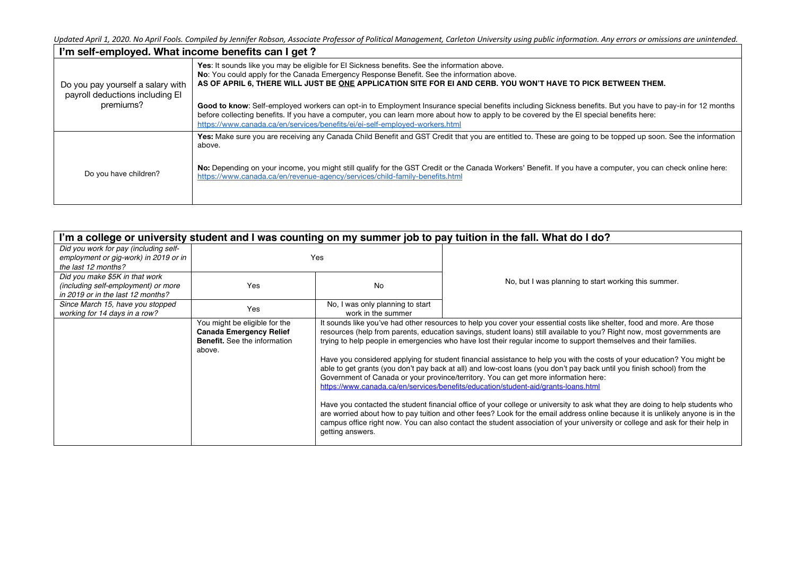| I'm self-employed. What income benefits can I get?                   |                                                                                                                                                                                                                                                                                                                                                                                      |  |  |
|----------------------------------------------------------------------|--------------------------------------------------------------------------------------------------------------------------------------------------------------------------------------------------------------------------------------------------------------------------------------------------------------------------------------------------------------------------------------|--|--|
| Do you pay yourself a salary with<br>payroll deductions including El | Yes: It sounds like you may be eligible for El Sickness benefits. See the information above.<br>No: You could apply for the Canada Emergency Response Benefit. See the information above.<br>AS OF APRIL 6, THERE WILL JUST BE ONE APPLICATION SITE FOR EI AND CERB. YOU WON'T HAVE TO PICK BETWEEN THEM.                                                                            |  |  |
| premiums?                                                            | Good to know: Self-employed workers can opt-in to Employment Insurance special benefits including Sickness benefits. But you have to pay-in for 12 months<br>before collecting benefits. If you have a computer, you can learn more about how to apply to be covered by the El special benefits here:<br>https://www.canada.ca/en/services/benefits/ei/ei-self-employed-workers.html |  |  |
|                                                                      | Yes: Make sure you are receiving any Canada Child Benefit and GST Credit that you are entitled to. These are going to be topped up soon. See the information<br>above.                                                                                                                                                                                                               |  |  |
| Do you have children?                                                | No: Depending on your income, you might still qualify for the GST Credit or the Canada Workers' Benefit. If you have a computer, you can check online here:<br>https://www.canada.ca/en/revenue-agency/services/child-family-benefits.html                                                                                                                                           |  |  |

| I'm a college or university student and I was counting on my summer job to pay tuition in the fall. What do I do? |                                                                                                                  |                                  |                                                                                                                                                                                                                                                                                                                                                                                                                                                                                                                                                                                                                                                                                                                                                                                                                                                                                                                                                                                                                                                                                                                                                                                                                 |
|-------------------------------------------------------------------------------------------------------------------|------------------------------------------------------------------------------------------------------------------|----------------------------------|-----------------------------------------------------------------------------------------------------------------------------------------------------------------------------------------------------------------------------------------------------------------------------------------------------------------------------------------------------------------------------------------------------------------------------------------------------------------------------------------------------------------------------------------------------------------------------------------------------------------------------------------------------------------------------------------------------------------------------------------------------------------------------------------------------------------------------------------------------------------------------------------------------------------------------------------------------------------------------------------------------------------------------------------------------------------------------------------------------------------------------------------------------------------------------------------------------------------|
| Did you work for pay (including self-                                                                             |                                                                                                                  |                                  |                                                                                                                                                                                                                                                                                                                                                                                                                                                                                                                                                                                                                                                                                                                                                                                                                                                                                                                                                                                                                                                                                                                                                                                                                 |
| employment or gig-work) in 2019 or in                                                                             | Yes                                                                                                              |                                  |                                                                                                                                                                                                                                                                                                                                                                                                                                                                                                                                                                                                                                                                                                                                                                                                                                                                                                                                                                                                                                                                                                                                                                                                                 |
| the last 12 months?                                                                                               |                                                                                                                  |                                  |                                                                                                                                                                                                                                                                                                                                                                                                                                                                                                                                                                                                                                                                                                                                                                                                                                                                                                                                                                                                                                                                                                                                                                                                                 |
| Did you make \$5K in that work                                                                                    |                                                                                                                  |                                  |                                                                                                                                                                                                                                                                                                                                                                                                                                                                                                                                                                                                                                                                                                                                                                                                                                                                                                                                                                                                                                                                                                                                                                                                                 |
| (including self-employment) or more                                                                               | Yes                                                                                                              | <b>No</b>                        | No, but I was planning to start working this summer.                                                                                                                                                                                                                                                                                                                                                                                                                                                                                                                                                                                                                                                                                                                                                                                                                                                                                                                                                                                                                                                                                                                                                            |
| in 2019 or in the last 12 months?                                                                                 |                                                                                                                  |                                  |                                                                                                                                                                                                                                                                                                                                                                                                                                                                                                                                                                                                                                                                                                                                                                                                                                                                                                                                                                                                                                                                                                                                                                                                                 |
| Since March 15, have you stopped                                                                                  |                                                                                                                  | No, I was only planning to start |                                                                                                                                                                                                                                                                                                                                                                                                                                                                                                                                                                                                                                                                                                                                                                                                                                                                                                                                                                                                                                                                                                                                                                                                                 |
| working for 14 days in a row?                                                                                     | Yes                                                                                                              | work in the summer               |                                                                                                                                                                                                                                                                                                                                                                                                                                                                                                                                                                                                                                                                                                                                                                                                                                                                                                                                                                                                                                                                                                                                                                                                                 |
|                                                                                                                   | You might be eligible for the<br><b>Canada Emergency Relief</b><br><b>Benefit.</b> See the information<br>above. | getting answers.                 | It sounds like you've had other resources to help you cover your essential costs like shelter, food and more. Are those<br>resources (help from parents, education savings, student loans) still available to you? Right now, most governments are<br>trying to help people in emergencies who have lost their regular income to support themselves and their families.<br>Have you considered applying for student financial assistance to help you with the costs of your education? You might be<br>able to get grants (you don't pay back at all) and low-cost loans (you don't pay back until you finish school) from the<br>Government of Canada or your province/territory. You can get more information here:<br>https://www.canada.ca/en/services/benefits/education/student-aid/grants-loans.html<br>Have you contacted the student financial office of your college or university to ask what they are doing to help students who<br>are worried about how to pay tuition and other fees? Look for the email address online because it is unlikely anyone is in the<br>campus office right now. You can also contact the student association of your university or college and ask for their help in |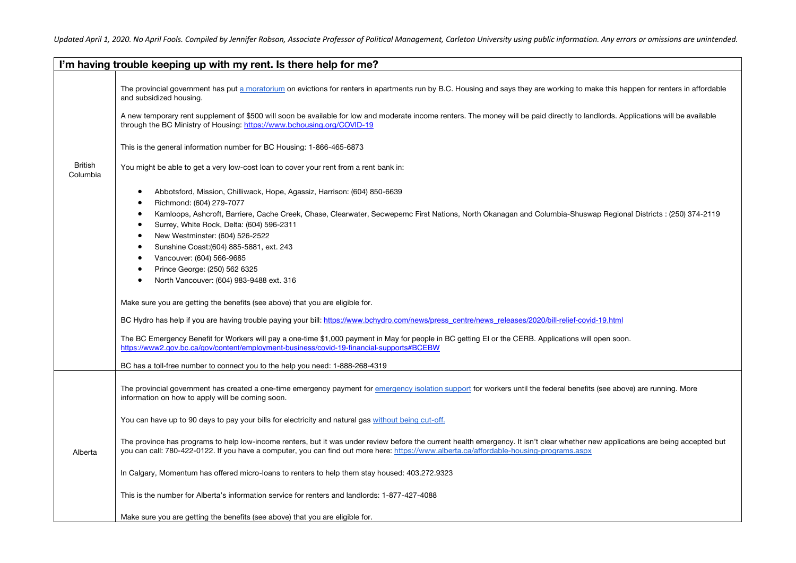|                                                                                                                                                                                                                                                                                                                                                                                                                                                                                                                                                                                                                                                                                                                                                                                                                                                                                                                                                                                                                                                                                                               | I'm having trouble keeping up with my rent. Is there help for me?                                                                                                                                                                                                                                                                                                                                                                                                                                                                                                                                                                                                                                                                                                                                                                                                                                                                                       |  |  |
|---------------------------------------------------------------------------------------------------------------------------------------------------------------------------------------------------------------------------------------------------------------------------------------------------------------------------------------------------------------------------------------------------------------------------------------------------------------------------------------------------------------------------------------------------------------------------------------------------------------------------------------------------------------------------------------------------------------------------------------------------------------------------------------------------------------------------------------------------------------------------------------------------------------------------------------------------------------------------------------------------------------------------------------------------------------------------------------------------------------|---------------------------------------------------------------------------------------------------------------------------------------------------------------------------------------------------------------------------------------------------------------------------------------------------------------------------------------------------------------------------------------------------------------------------------------------------------------------------------------------------------------------------------------------------------------------------------------------------------------------------------------------------------------------------------------------------------------------------------------------------------------------------------------------------------------------------------------------------------------------------------------------------------------------------------------------------------|--|--|
|                                                                                                                                                                                                                                                                                                                                                                                                                                                                                                                                                                                                                                                                                                                                                                                                                                                                                                                                                                                                                                                                                                               | The provincial government has put a moratorium on evictions for renters in apartments run by B.C. Housing and says they are working to make this happen for renters in affordable<br>and subsidized housing.<br>A new temporary rent supplement of \$500 will soon be available for low and moderate income renters. The money will be paid directly to landlords. Applications will be available<br>through the BC Ministry of Housing: https://www.bchousing.org/COVID-19                                                                                                                                                                                                                                                                                                                                                                                                                                                                             |  |  |
| <b>British</b><br>Columbia                                                                                                                                                                                                                                                                                                                                                                                                                                                                                                                                                                                                                                                                                                                                                                                                                                                                                                                                                                                                                                                                                    | This is the general information number for BC Housing: 1-866-465-6873<br>You might be able to get a very low-cost loan to cover your rent from a rent bank in:                                                                                                                                                                                                                                                                                                                                                                                                                                                                                                                                                                                                                                                                                                                                                                                          |  |  |
| Abbotsford, Mission, Chilliwack, Hope, Agassiz, Harrison: (604) 850-6639<br>٠<br>Richmond: (604) 279-7077<br>Kamloops, Ashcroft, Barriere, Cache Creek, Chase, Clearwater, Secwepemc First Nations, North Okanagan and Columbia-Shuswap Regional Districts : (250) 374-2119<br>Surrey, White Rock, Delta: (604) 596-2311<br>New Westminster: (604) 526-2522<br>$\bullet$<br>Sunshine Coast: (604) 885-5881, ext. 243<br>Vancouver: (604) 566-9685<br>Prince George: (250) 562 6325<br>North Vancouver: (604) 983-9488 ext. 316<br>Make sure you are getting the benefits (see above) that you are eligible for.<br>BC Hydro has help if you are having trouble paying your bill: https://www.bchydro.com/news/press_centre/news_releases/2020/bill-relief-covid-19.html<br>The BC Emergency Benefit for Workers will pay a one-time \$1,000 payment in May for people in BC getting EI or the CERB. Applications will open soon.<br>https://www2.gov.bc.ca/gov/content/employment-business/covid-19-financial-supports#BCEBW<br>BC has a toll-free number to connect you to the help you need: 1-888-268-4319 |                                                                                                                                                                                                                                                                                                                                                                                                                                                                                                                                                                                                                                                                                                                                                                                                                                                                                                                                                         |  |  |
| Alberta                                                                                                                                                                                                                                                                                                                                                                                                                                                                                                                                                                                                                                                                                                                                                                                                                                                                                                                                                                                                                                                                                                       | The provincial government has created a one-time emergency payment for emergency isolation support for workers until the federal benefits (see above) are running. More<br>information on how to apply will be coming soon.<br>You can have up to 90 days to pay your bills for electricity and natural gas without being cut-off.<br>The province has programs to help low-income renters, but it was under review before the current health emergency. It isn't clear whether new applications are being accepted but<br>you can call: 780-422-0122. If you have a computer, you can find out more here: https://www.alberta.ca/affordable-housing-programs.aspx<br>In Calgary, Momentum has offered micro-loans to renters to help them stay housed: 403.272.9323<br>This is the number for Alberta's information service for renters and landlords: 1-877-427-4088<br>Make sure you are getting the benefits (see above) that you are eligible for. |  |  |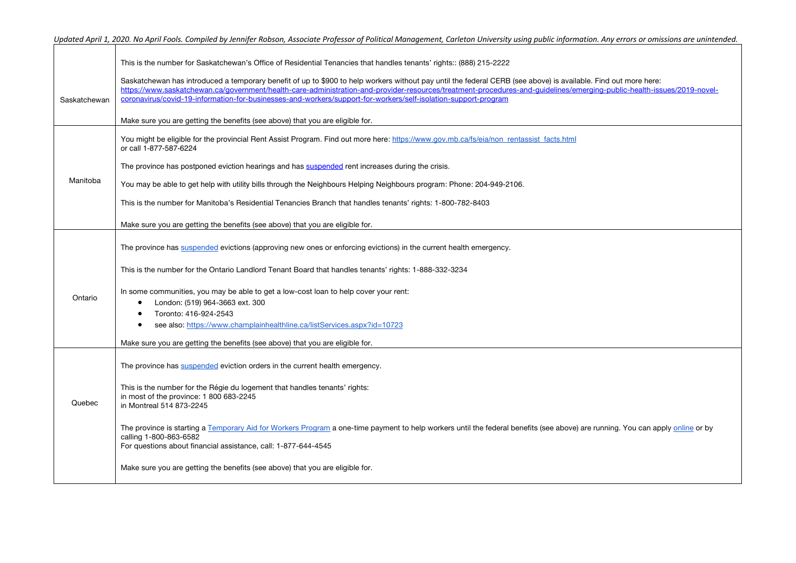|              | Updated April 1, 2020. No April Fools. Compiled by Jennifer Robson, Associate Professor of Political Management, Carleton University using public information. Any errors or omissions are unintended.                                                                                                                                    |
|--------------|-------------------------------------------------------------------------------------------------------------------------------------------------------------------------------------------------------------------------------------------------------------------------------------------------------------------------------------------|
|              | This is the number for Saskatchewan's Office of Residential Tenancies that handles tenants' rights:: (888) 215-2222                                                                                                                                                                                                                       |
|              | Saskatchewan has introduced a temporary benefit of up to \$900 to help workers without pay until the federal CERB (see above) is available. Find out more here:<br>https://www.saskatchewan.ca/government/health-care-administration-and-provider-resources/treatment-procedures-and-quidelines/emerging-public-health-issues/2019-novel- |
| Saskatchewan | coronavirus/covid-19-information-for-businesses-and-workers/support-for-workers/self-isolation-support-program                                                                                                                                                                                                                            |
|              | Make sure you are getting the benefits (see above) that you are eligible for.                                                                                                                                                                                                                                                             |
|              | You might be eligible for the provincial Rent Assist Program. Find out more here: https://www.gov.mb.ca/fs/eia/non rentassist facts.html<br>or call 1-877-587-6224                                                                                                                                                                        |
|              | The province has postponed eviction hearings and has suspended rent increases during the crisis.                                                                                                                                                                                                                                          |
| Manitoba     | You may be able to get help with utility bills through the Neighbours Helping Neighbours program: Phone: 204-949-2106.                                                                                                                                                                                                                    |
|              | This is the number for Manitoba's Residential Tenancies Branch that handles tenants' rights: 1-800-782-8403                                                                                                                                                                                                                               |
|              | Make sure you are getting the benefits (see above) that you are eligible for.                                                                                                                                                                                                                                                             |
|              | The province has suspended evictions (approving new ones or enforcing evictions) in the current health emergency.                                                                                                                                                                                                                         |
|              | This is the number for the Ontario Landlord Tenant Board that handles tenants' rights: 1-888-332-3234                                                                                                                                                                                                                                     |
| Ontario      | In some communities, you may be able to get a low-cost loan to help cover your rent:                                                                                                                                                                                                                                                      |
|              | London: (519) 964-3663 ext. 300                                                                                                                                                                                                                                                                                                           |
|              | Toronto: 416-924-2543<br>$\bullet$<br>see also: https://www.champlainhealthline.ca/listServices.aspx?id=10723<br>٠                                                                                                                                                                                                                        |
|              | Make sure you are getting the benefits (see above) that you are eligible for.                                                                                                                                                                                                                                                             |
|              |                                                                                                                                                                                                                                                                                                                                           |
|              | The province has suspended eviction orders in the current health emergency.                                                                                                                                                                                                                                                               |
|              | This is the number for the Régie du logement that handles tenants' rights:                                                                                                                                                                                                                                                                |
| Quebec       | in most of the province: 1 800 683-2245<br>in Montreal 514 873-2245                                                                                                                                                                                                                                                                       |
|              | The province is starting a Temporary Aid for Workers Program a one-time payment to help workers until the federal benefits (see above) are running. You can apply online or by                                                                                                                                                            |
|              | calling 1-800-863-6582<br>For questions about financial assistance, call: 1-877-644-4545                                                                                                                                                                                                                                                  |
|              | Make sure you are getting the benefits (see above) that you are eligible for.                                                                                                                                                                                                                                                             |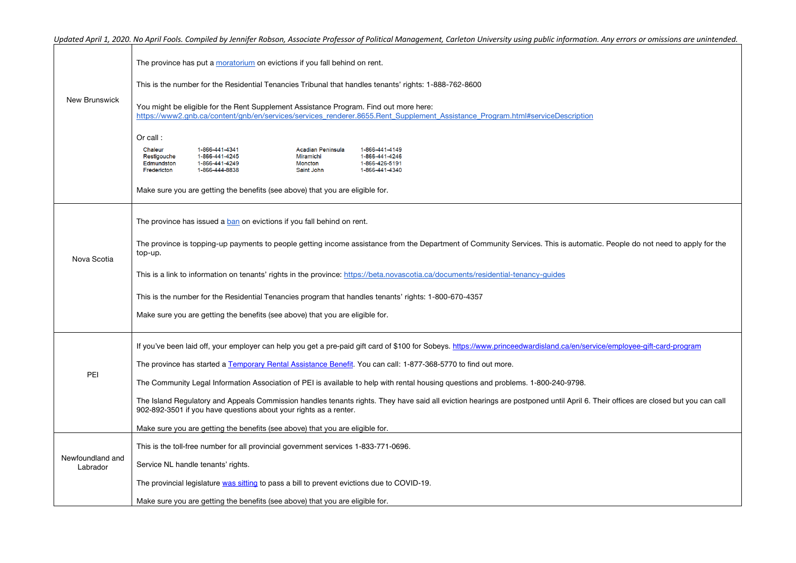|                              | The province has put a moratorium on evictions if you fall behind on rent.                                                                                                                                                                                     |
|------------------------------|----------------------------------------------------------------------------------------------------------------------------------------------------------------------------------------------------------------------------------------------------------------|
| <b>New Brunswick</b>         | This is the number for the Residential Tenancies Tribunal that handles tenants' rights: 1-888-762-8600                                                                                                                                                         |
|                              | You might be eligible for the Rent Supplement Assistance Program. Find out more here:<br>https://www2.qnb.ca/content/gnb/en/services/services renderer.8655.Rent Supplement Assistance Program.html#serviceDescription                                         |
|                              | Or call:                                                                                                                                                                                                                                                       |
|                              | 1-866-441-4341<br>1-866-441-4149<br>Chaleur<br>Acadian Peninsula<br>Restigouche<br>1-866-441-4245<br>Miramichi<br>1-866-441-4246<br>Edmundston<br>1-866-441-4249<br>Moncton<br>1-866-426-5191<br>Fredericton<br>1-866-441-4340<br>1-866-444-8838<br>Saint John |
|                              | Make sure you are getting the benefits (see above) that you are eligible for.                                                                                                                                                                                  |
| Nova Scotia                  | The province has issued a ban on evictions if you fall behind on rent.                                                                                                                                                                                         |
|                              | The province is topping-up payments to people getting income assistance from the Department of Community Services. This is automatic. People do not need to apply for the<br>top-up.                                                                           |
|                              | This is a link to information on tenants' rights in the province: https://beta.novascotia.ca/documents/residential-tenancy-guides                                                                                                                              |
|                              | This is the number for the Residential Tenancies program that handles tenants' rights: 1-800-670-4357                                                                                                                                                          |
|                              | Make sure you are getting the benefits (see above) that you are eligible for.                                                                                                                                                                                  |
| PEI                          | If you've been laid off, your employer can help you get a pre-paid gift card of \$100 for Sobeys. https://www.princeedwardisland.ca/en/service/employee-gift-card-program                                                                                      |
|                              | The province has started a Temporary Rental Assistance Benefit. You can call: 1-877-368-5770 to find out more.                                                                                                                                                 |
|                              | The Community Legal Information Association of PEI is available to help with rental housing questions and problems. 1-800-240-9798.                                                                                                                            |
|                              | The Island Regulatory and Appeals Commission handles tenants rights. They have said all eviction hearings are postponed until April 6. Their offices are closed but you can call<br>902-892-3501 if you have questions about your rights as a renter.          |
|                              | Make sure you are getting the benefits (see above) that you are eligible for.                                                                                                                                                                                  |
| Newfoundland and<br>Labrador | This is the toll-free number for all provincial government services 1-833-771-0696.                                                                                                                                                                            |
|                              | Service NL handle tenants' rights.                                                                                                                                                                                                                             |
|                              | The provincial legislature was sitting to pass a bill to prevent evictions due to COVID-19.                                                                                                                                                                    |
|                              | Make sure you are getting the benefits (see above) that you are eligible for.                                                                                                                                                                                  |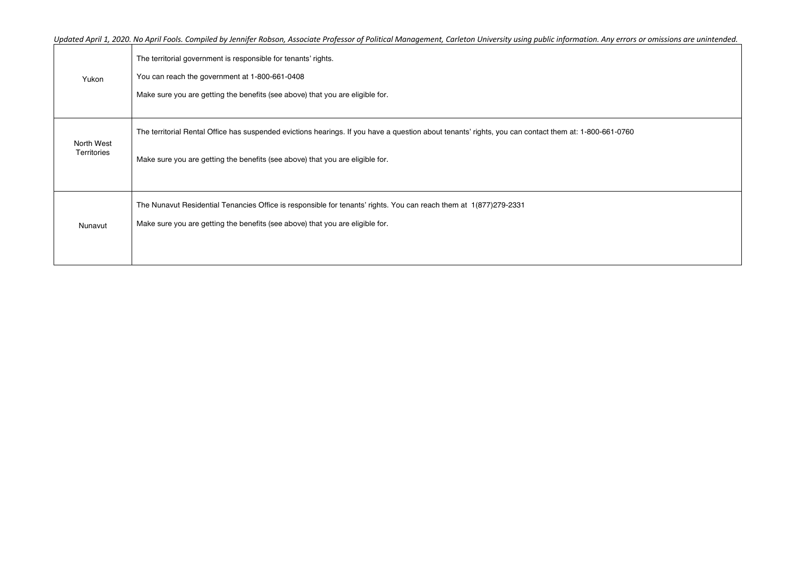| Yukon                     | The territorial government is responsible for tenants' rights.<br>You can reach the government at 1-800-661-0408<br>Make sure you are getting the benefits (see above) that you are eligible for.                                      |
|---------------------------|----------------------------------------------------------------------------------------------------------------------------------------------------------------------------------------------------------------------------------------|
| North West<br>Territories | The territorial Rental Office has suspended evictions hearings. If you have a question about tenants' rights, you can contact them at: 1-800-661-0760<br>Make sure you are getting the benefits (see above) that you are eligible for. |
| Nunavut                   | The Nunavut Residential Tenancies Office is responsible for tenants' rights. You can reach them at 1(877)279-2331<br>Make sure you are getting the benefits (see above) that you are eligible for.                                     |